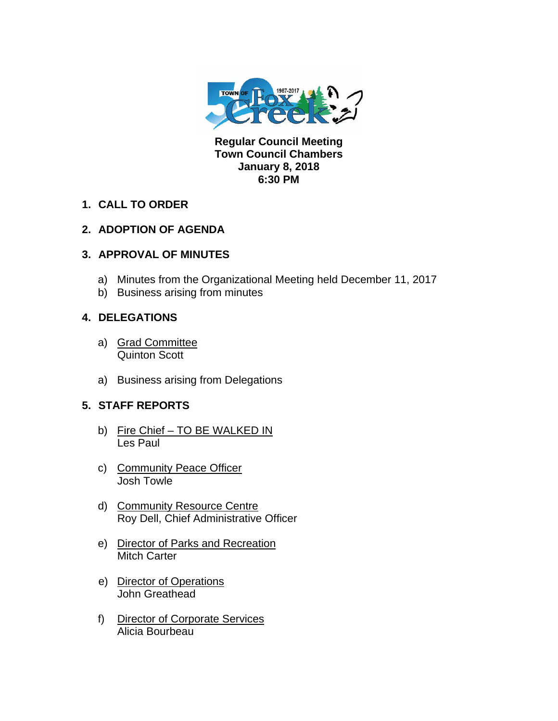

**Regular Council Meeting Town Council Chambers January 8, 2018 6:30 PM** 

**1. CALL TO ORDER** 

# **2. ADOPTION OF AGENDA**

## **3. APPROVAL OF MINUTES**

- a) Minutes from the Organizational Meeting held December 11, 2017
- b) Business arising from minutes

### **4. DELEGATIONS**

- a) Grad Committee Quinton Scott
- a) Business arising from Delegations

### **5. STAFF REPORTS**

- b) Fire Chief TO BE WALKED IN Les Paul
- c) Community Peace Officer Josh Towle
- d) Community Resource Centre Roy Dell, Chief Administrative Officer
- e) Director of Parks and Recreation Mitch Carter
- e) Director of Operations John Greathead
- f) Director of Corporate Services Alicia Bourbeau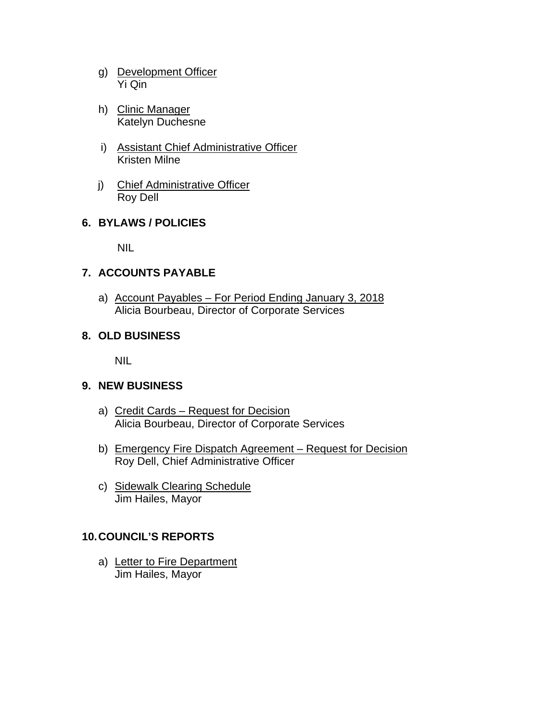- g) Development Officer Yi Qin
- h) Clinic Manager Katelyn Duchesne
- i) Assistant Chief Administrative Officer Kristen Milne
- j) Chief Administrative Officer Roy Dell

## **6. BYLAWS / POLICIES**

NIL

## **7. ACCOUNTS PAYABLE**

a) Account Payables – For Period Ending January 3, 2018 Alicia Bourbeau, Director of Corporate Services

## **8. OLD BUSINESS**

NIL

### **9. NEW BUSINESS**

- a) Credit Cards Request for Decision Alicia Bourbeau, Director of Corporate Services
- b) Emergency Fire Dispatch Agreement Request for Decision Roy Dell, Chief Administrative Officer
- c) Sidewalk Clearing Schedule Jim Hailes, Mayor

### **10. COUNCIL'S REPORTS**

a) Letter to Fire Department Jim Hailes, Mayor